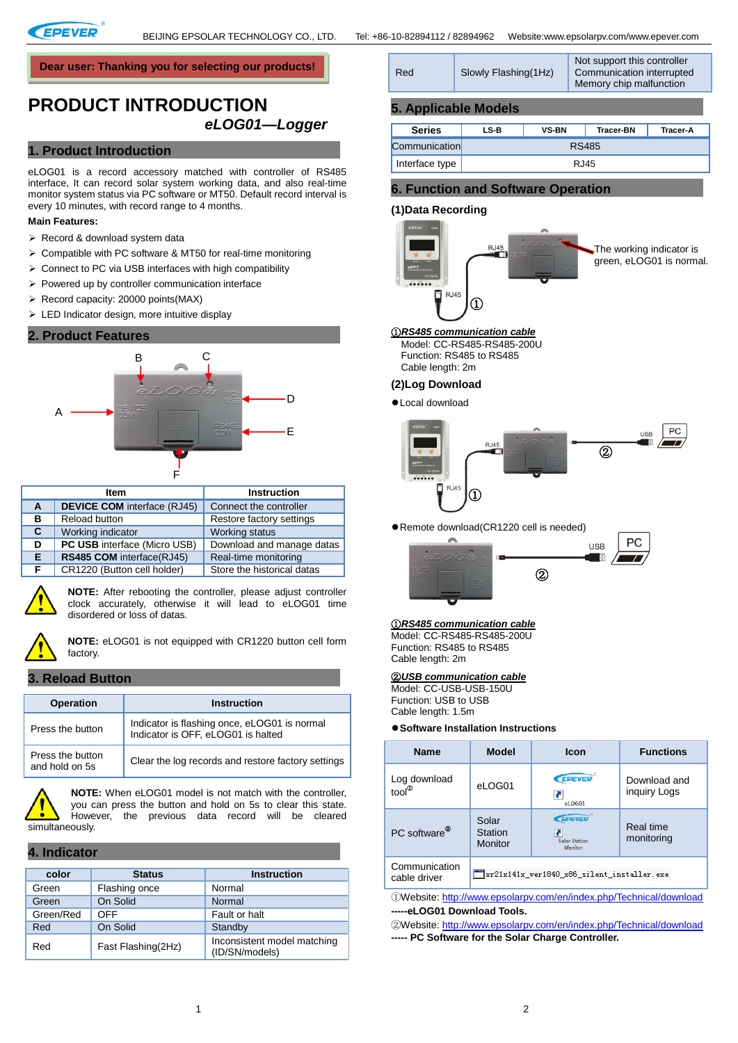

**Dear user: Thanking you for selecting our products!**

# **PRODUCT INTRODUCTION**  *eLOG01—Logger*

## **1. Product Introduction**

eLOG01 is a record accessory matched with controller of RS485 interface, It can record solar system working data, and also real-time monitor system status via PC software or MT50. Default record interval is every 10 minutes, with record range to 4 months.

#### **Main Features:**

- > Record & download system data
- $\triangleright$  Compatible with PC software & MT50 for real-time monitoring
- $\triangleright$  Connect to PC via USB interfaces with high compatibility
- $\triangleright$  Powered up by controller communication interface
- $\triangleright$  Record capacity: 20000 points(MAX)
- > LED Indicator design, more intuitive display

#### **2. Product Features**



| <b>Item</b> |                                     | <b>Instruction</b>         |  |
|-------------|-------------------------------------|----------------------------|--|
| A           | <b>DEVICE COM</b> interface (RJ45)  | Connect the controller     |  |
| в           | Reload button                       | Restore factory settings   |  |
| C.          | Working indicator                   | Working status             |  |
| D           | <b>PC USB</b> interface (Micro USB) | Download and manage datas  |  |
| Е.          | RS485 COM interface(RJ45)           | Real-time monitoring       |  |
| F.          | CR1220 (Button cell holder)         | Store the historical datas |  |



**NOTE:** After rebooting the controller, please adjust controller clock accurately, otherwise it will lead to eLOG01 time disordered or loss of datas.



**NOTE:** eLOG01 is not equipped with CR1220 button cell form factory.

#### **3. Reload Button**

| <b>Operation</b>                   | <b>Instruction</b>                                                                 |
|------------------------------------|------------------------------------------------------------------------------------|
| Press the button                   | Indicator is flashing once, eLOG01 is normal<br>Indicator is OFF, eLOG01 is halted |
| Press the button<br>and hold on 5s | Clear the log records and restore factory settings                                 |



**NOTE:** When eLOG01 model is not match with the controller, you can press the button and hold on 5s to clear this state. However, the previous data record will be cleared

#### **4. Indicator**

| color     | <b>Status</b>      | <b>Instruction</b>                            |  |
|-----------|--------------------|-----------------------------------------------|--|
| Green     | Flashing once      | Normal                                        |  |
| Green     | On Solid           | Normal                                        |  |
| Green/Red | OFF                | Fault or halt                                 |  |
| Red       | On Solid           | Standby                                       |  |
| Red       | Fast Flashing(2Hz) | Inconsistent model matching<br>(ID/SN/models) |  |

| Slowly Flashing (1Hz)<br>Red | Not support this controller<br>Communication interrupted<br>Memory chip malfunction |
|------------------------------|-------------------------------------------------------------------------------------|
|------------------------------|-------------------------------------------------------------------------------------|

#### **5. Applicable Models**

| <b>Series</b>  | LS-B  | <b>VS-BN</b> | <b>Tracer-BN</b> | Tracer-A |
|----------------|-------|--------------|------------------|----------|
| Communication  | RS485 |              |                  |          |
| Interface type |       | RJ45         |                  |          |

## **6. Function and Software Operation**

## **(1)Data Recording**



Model: CC-RS485-RS485-200U Function: RS485 to RS485 Cable length: 2m

## **(2)Log Download**

Local download



Remote download(CR1220 cell is needed)



#### ①*RS485 communication cable* Model: CC-RS485-RS485-200U Function: RS485 to RS485

Cable length: 2m

## ②*USB communication cable*

Model: CC-USB-USB-150U Function: USB to USB Cable length: 1.5m

#### **Software Installation Instructions**

| <b>Name</b>                       | <b>Model</b>                       | Icon                                       | <b>Functions</b>             |
|-----------------------------------|------------------------------------|--------------------------------------------|------------------------------|
| Log download<br>tool <sup>®</sup> | eLOG01                             | <b>EPEVER</b><br>М<br>eLOG01               | Download and<br>inguiry Logs |
| PC software <sup>®</sup>          | Solar<br><b>Station</b><br>Monitor | EPEVER<br>7<br>Solar Station<br>Monitor    | Real time<br>monitoring      |
| Communication<br>cable driver     |                                    | xr21x141x ver1840 x86 silent installer.exe |                              |

①Website:<http://www.epsolarpv.com/en/index.php/Technical/download> **-----eLOG01 Download Tools.**

②Website: [http://www.epsolarpv.com/en/index.php/Technical/download](http://www.epsolarpv.com/en/index.php/Technical/downloadF/id/801) **----- PC Software for the Solar Charge Controller.**